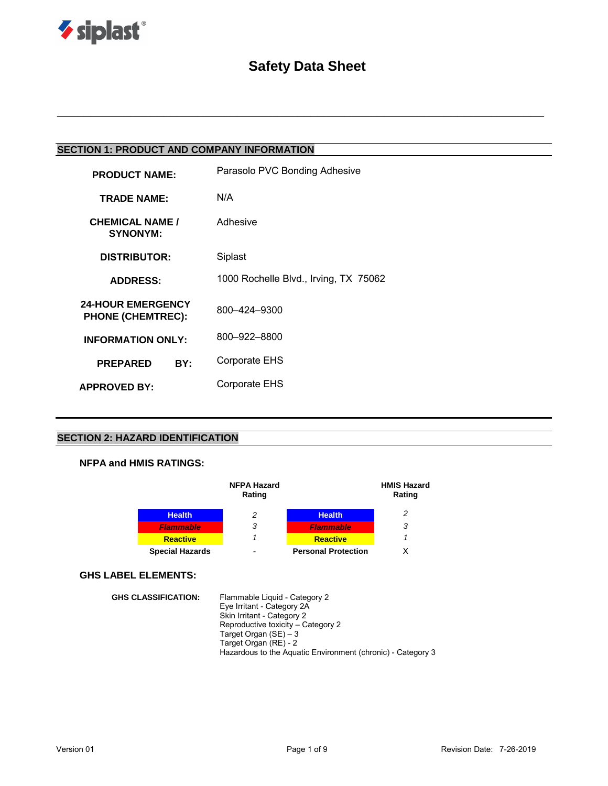

# **Safety Data Sheet**

**\_\_\_\_\_\_\_\_\_\_\_\_\_\_\_\_\_\_\_\_\_\_\_\_\_\_\_\_\_\_\_\_\_\_\_\_\_\_\_\_\_\_\_\_\_\_\_\_\_\_\_\_\_\_\_\_\_\_\_\_\_\_\_\_\_\_\_\_\_\_\_\_\_**

## **SECTION 1: PRODUCT AND COMPANY INFORMATION**

| <b>PRODUCT NAME:</b>                                 | Parasolo PVC Bonding Adhesive         |  |  |
|------------------------------------------------------|---------------------------------------|--|--|
| <b>TRADE NAME:</b>                                   | N/A                                   |  |  |
| <b>CHEMICAL NAME /</b><br><b>SYNONYM:</b>            | Adhesive                              |  |  |
| <b>DISTRIBUTOR:</b>                                  | Siplast                               |  |  |
| <b>ADDRESS:</b>                                      | 1000 Rochelle Blvd., Irving, TX 75062 |  |  |
| <b>24-HOUR EMERGENCY</b><br><b>PHONE (CHEMTREC):</b> | 800-424-9300                          |  |  |
| <b>INFORMATION ONLY:</b>                             | 800-922-8800                          |  |  |
| <b>PREPARED</b><br>BY:                               | Corporate EHS                         |  |  |
| <b>APPROVED BY:</b>                                  | Corporate EHS                         |  |  |
|                                                      |                                       |  |  |

## **SECTION 2: HAZARD IDENTIFICATION**

### **NFPA and HMIS RATINGS:**

|                        | <b>NFPA Hazard</b><br>Rating |                            | <b>HMIS Hazard</b><br>Rating |
|------------------------|------------------------------|----------------------------|------------------------------|
| <b>Health</b>          | 2                            | <b>Health</b>              | 2                            |
| <b>Flammable</b>       | 3                            | <b>Flammable</b>           | 3                            |
| <b>Reactive</b>        |                              | <b>Reactive</b>            |                              |
| <b>Special Hazards</b> |                              | <b>Personal Protection</b> |                              |

### **GHS LABEL ELEMENTS:**

| <b>GHS CLASSIFICATION:</b> | Flammable Liquid - Category 2                               |
|----------------------------|-------------------------------------------------------------|
|                            | Eye Irritant - Category 2A                                  |
|                            | Skin Irritant - Category 2                                  |
|                            | Reproductive toxicity – Category 2                          |
|                            | Target Organ $(SE) - 3$                                     |
|                            | Target Organ (RE) - 2                                       |
|                            | Hazardous to the Aguatic Environment (chronic) - Category 3 |
|                            |                                                             |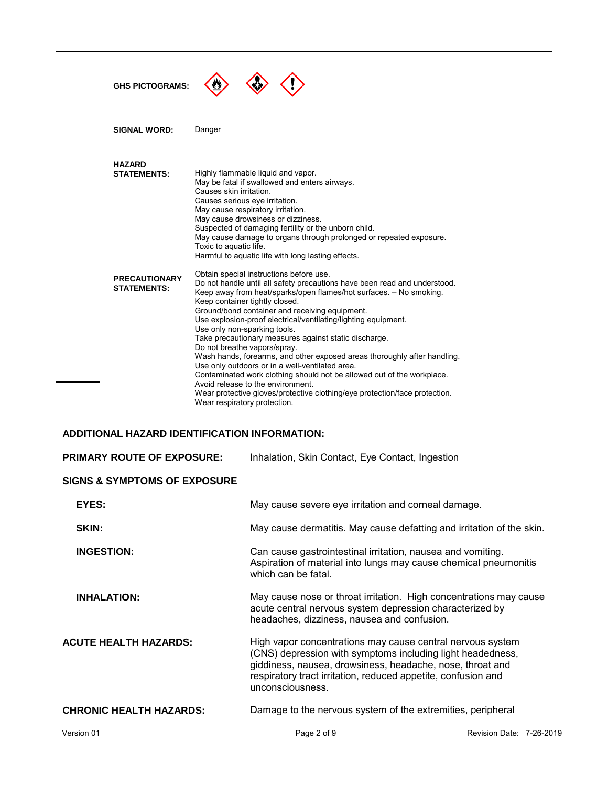| <b>GHS PICTOGRAMS:</b>                     |                                                                                                                                                                                                                                                                                                                                                                                                                                                                                                                                                                                                                                                                                                                                                                                                                                       |
|--------------------------------------------|---------------------------------------------------------------------------------------------------------------------------------------------------------------------------------------------------------------------------------------------------------------------------------------------------------------------------------------------------------------------------------------------------------------------------------------------------------------------------------------------------------------------------------------------------------------------------------------------------------------------------------------------------------------------------------------------------------------------------------------------------------------------------------------------------------------------------------------|
| <b>SIGNAL WORD:</b>                        | Danger                                                                                                                                                                                                                                                                                                                                                                                                                                                                                                                                                                                                                                                                                                                                                                                                                                |
| <b>HAZARD</b><br><b>STATEMENTS:</b>        | Highly flammable liquid and vapor.<br>May be fatal if swallowed and enters airways.<br>Causes skin irritation.<br>Causes serious eye irritation.<br>May cause respiratory irritation.<br>May cause drowsiness or dizziness.<br>Suspected of damaging fertility or the unborn child.<br>May cause damage to organs through prolonged or repeated exposure.<br>Toxic to aquatic life.<br>Harmful to aquatic life with long lasting effects.                                                                                                                                                                                                                                                                                                                                                                                             |
| <b>PRECAUTIONARY</b><br><b>STATEMENTS:</b> | Obtain special instructions before use.<br>Do not handle until all safety precautions have been read and understood.<br>Keep away from heat/sparks/open flames/hot surfaces. - No smoking.<br>Keep container tightly closed.<br>Ground/bond container and receiving equipment.<br>Use explosion-proof electrical/ventilating/lighting equipment.<br>Use only non-sparking tools.<br>Take precautionary measures against static discharge.<br>Do not breathe vapors/spray.<br>Wash hands, forearms, and other exposed areas thoroughly after handling.<br>Use only outdoors or in a well-ventilated area.<br>Contaminated work clothing should not be allowed out of the workplace.<br>Avoid release to the environment.<br>Wear protective gloves/protective clothing/eye protection/face protection.<br>Wear respiratory protection. |

## **ADDITIONAL HAZARD IDENTIFICATION INFORMATION:**

| <b>PRIMARY ROUTE OF EXPOSURE:</b>       | Inhalation, Skin Contact, Eye Contact, Ingestion                                                                                                                                                                                                                           |
|-----------------------------------------|----------------------------------------------------------------------------------------------------------------------------------------------------------------------------------------------------------------------------------------------------------------------------|
| <b>SIGNS &amp; SYMPTOMS OF EXPOSURE</b> |                                                                                                                                                                                                                                                                            |
| EYES:                                   | May cause severe eye irritation and corneal damage.                                                                                                                                                                                                                        |
| SKIN:                                   | May cause dermatitis. May cause defatting and irritation of the skin.                                                                                                                                                                                                      |
| <b>INGESTION:</b>                       | Can cause gastrointestinal irritation, nausea and vomiting.<br>Aspiration of material into lungs may cause chemical pneumonitis<br>which can be fatal.                                                                                                                     |
| <b>INHALATION:</b>                      | May cause nose or throat irritation. High concentrations may cause<br>acute central nervous system depression characterized by<br>headaches, dizziness, nausea and confusion.                                                                                              |
| <b>ACUTE HEALTH HAZARDS:</b>            | High vapor concentrations may cause central nervous system<br>(CNS) depression with symptoms including light headedness,<br>giddiness, nausea, drowsiness, headache, nose, throat and<br>respiratory tract irritation, reduced appetite, confusion and<br>unconsciousness. |
| <b>CHRONIC HEALTH HAZARDS:</b>          | Damage to the nervous system of the extremities, peripheral                                                                                                                                                                                                                |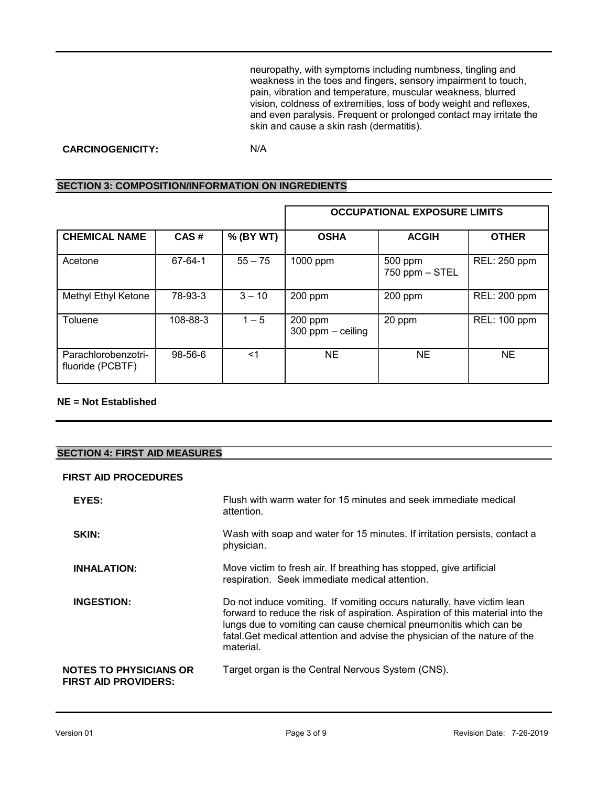neuropathy, with symptoms including numbness, tingling and weakness in the toes and fingers, sensory impairment to touch, pain, vibration and temperature, muscular weakness, blurred vision, coldness of extremities, loss of body weight and reflexes, and even paralysis. Frequent or prolonged contact may irritate the skin and cause a skin rash (dermatitis).

### **CARCINOGENICITY:** N/A

### **SECTION 3: COMPOSITION/INFORMATION ON INGREDIENTS**

|                                         |               |           | <b>OCCUPATIONAL EXPOSURE LIMITS</b> |                           |                     |
|-----------------------------------------|---------------|-----------|-------------------------------------|---------------------------|---------------------|
| <b>CHEMICAL NAME</b>                    | CAS#          | % (BY WT) | <b>OSHA</b>                         | <b>ACGIH</b>              | <b>OTHER</b>        |
| Acetone                                 | 67-64-1       | $55 - 75$ | 1000 ppm                            | 500 ppm<br>750 ppm - STEL | REL: 250 ppm        |
| Methyl Ethyl Ketone                     | 78-93-3       | $3 - 10$  | 200 ppm                             | 200 ppm                   | REL: 200 ppm        |
| Toluene                                 | 108-88-3      | $1 - 5$   | 200 ppm<br>$300$ ppm $-$ ceiling    | 20 ppm                    | <b>REL: 100 ppm</b> |
| Parachlorobenzotri-<br>fluoride (PCBTF) | $98 - 56 - 6$ | <1        | NE.                                 | ΝE                        | <b>NE</b>           |

### **NE = Not Established**

### **SECTION 4: FIRST AID MEASURES**

### **FIRST AID PROCEDURES**

| EYES:                                                        | Flush with warm water for 15 minutes and seek immediate medical<br>attention.                                                                                                                                                                                                                                            |
|--------------------------------------------------------------|--------------------------------------------------------------------------------------------------------------------------------------------------------------------------------------------------------------------------------------------------------------------------------------------------------------------------|
| <b>SKIN:</b>                                                 | Wash with soap and water for 15 minutes. If irritation persists, contact a<br>physician.                                                                                                                                                                                                                                 |
| <b>INHALATION:</b>                                           | Move victim to fresh air. If breathing has stopped, give artificial<br>respiration. Seek immediate medical attention.                                                                                                                                                                                                    |
| <b>INGESTION:</b>                                            | Do not induce vomiting. If vomiting occurs naturally, have victim lean<br>forward to reduce the risk of aspiration. Aspiration of this material into the<br>lungs due to vomiting can cause chemical pneumonitis which can be<br>fatal. Get medical attention and advise the physician of the nature of the<br>material. |
| <b>NOTES TO PHYSICIANS OR</b><br><b>FIRST AID PROVIDERS:</b> | Target organ is the Central Nervous System (CNS).                                                                                                                                                                                                                                                                        |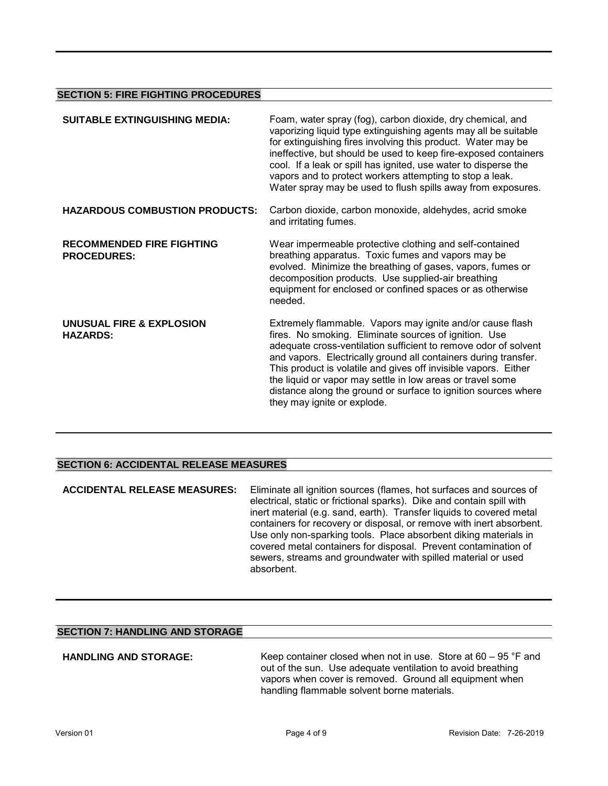### **SECTION 5: FIRE FIGHTING PROCEDURES**

| <b>SUITABLE EXTINGUISHING MEDIA:</b>                   | Foam, water spray (fog), carbon dioxide, dry chemical, and<br>vaporizing liquid type extinguishing agents may all be suitable<br>for extinguishing fires involving this product. Water may be<br>ineffective, but should be used to keep fire-exposed containers<br>cool. If a leak or spill has ignited, use water to disperse the<br>vapors and to protect workers attempting to stop a leak.<br>Water spray may be used to flush spills away from exposures.                            |
|--------------------------------------------------------|--------------------------------------------------------------------------------------------------------------------------------------------------------------------------------------------------------------------------------------------------------------------------------------------------------------------------------------------------------------------------------------------------------------------------------------------------------------------------------------------|
| <b>HAZARDOUS COMBUSTION PRODUCTS:</b>                  | Carbon dioxide, carbon monoxide, aldehydes, acrid smoke<br>and irritating fumes.                                                                                                                                                                                                                                                                                                                                                                                                           |
| <b>RECOMMENDED FIRE FIGHTING</b><br><b>PROCEDURES:</b> | Wear impermeable protective clothing and self-contained<br>breathing apparatus. Toxic fumes and vapors may be<br>evolved. Minimize the breathing of gases, vapors, fumes or<br>decomposition products. Use supplied-air breathing<br>equipment for enclosed or confined spaces or as otherwise<br>needed.                                                                                                                                                                                  |
| UNUSUAL FIRE & EXPLOSION<br><b>HAZARDS:</b>            | Extremely flammable. Vapors may ignite and/or cause flash<br>fires. No smoking. Eliminate sources of ignition. Use<br>adequate cross-ventilation sufficient to remove odor of solvent<br>and vapors. Electrically ground all containers during transfer.<br>This product is volatile and gives off invisible vapors. Either<br>the liquid or vapor may settle in low areas or travel some<br>distance along the ground or surface to ignition sources where<br>they may ignite or explode. |

### **SECTION 6: ACCIDENTAL RELEASE MEASURES**

**ACCIDENTAL RELEASE MEASURES:** Eliminate all ignition sources (flames, hot surfaces and sources of electrical, static or frictional sparks). Dike and contain spill with inert material (e.g. sand, earth). Transfer liquids to covered metal containers for recovery or disposal, or remove with inert absorbent. Use only non-sparking tools. Place absorbent diking materials in covered metal containers for disposal. Prevent contamination of sewers, streams and groundwater with spilled material or used absorbent.

### **SECTION 7: HANDLING AND STORAGE**

**HANDLING AND STORAGE:** Keep container closed when not in use. Store at 60 – 95 °F and out of the sun. Use adequate ventilation to avoid breathing vapors when cover is removed. Ground all equipment when handling flammable solvent borne materials.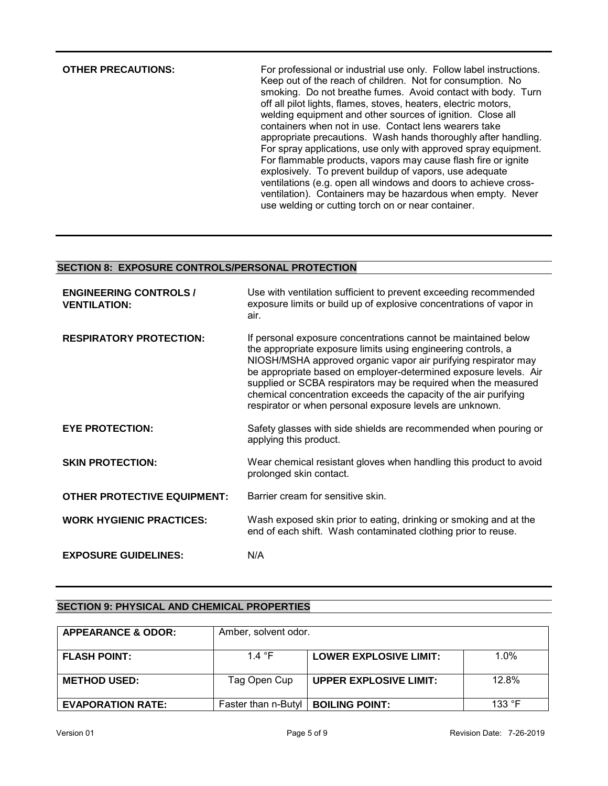**OTHER PRECAUTIONS:** For professional or industrial use only. Follow label instructions. Keep out of the reach of children. Not for consumption. No smoking. Do not breathe fumes. Avoid contact with body. Turn off all pilot lights, flames, stoves, heaters, electric motors, welding equipment and other sources of ignition. Close all containers when not in use. Contact lens wearers take appropriate precautions. Wash hands thoroughly after handling. For spray applications, use only with approved spray equipment. For flammable products, vapors may cause flash fire or ignite explosively. To prevent buildup of vapors, use adequate ventilations (e.g. open all windows and doors to achieve crossventilation). Containers may be hazardous when empty. Never use welding or cutting torch on or near container.

### **SECTION 8: EXPOSURE CONTROLS/PERSONAL PROTECTION**

| <b>ENGINEERING CONTROLS /</b><br><b>VENTILATION:</b> | Use with ventilation sufficient to prevent exceeding recommended<br>exposure limits or build up of explosive concentrations of vapor in<br>air.                                                                                                                                                                                                                                                                                                                         |
|------------------------------------------------------|-------------------------------------------------------------------------------------------------------------------------------------------------------------------------------------------------------------------------------------------------------------------------------------------------------------------------------------------------------------------------------------------------------------------------------------------------------------------------|
| <b>RESPIRATORY PROTECTION:</b>                       | If personal exposure concentrations cannot be maintained below<br>the appropriate exposure limits using engineering controls, a<br>NIOSH/MSHA approved organic vapor air purifying respirator may<br>be appropriate based on employer-determined exposure levels. Air<br>supplied or SCBA respirators may be required when the measured<br>chemical concentration exceeds the capacity of the air purifying<br>respirator or when personal exposure levels are unknown. |
| <b>EYE PROTECTION:</b>                               | Safety glasses with side shields are recommended when pouring or<br>applying this product.                                                                                                                                                                                                                                                                                                                                                                              |
| <b>SKIN PROTECTION:</b>                              | Wear chemical resistant gloves when handling this product to avoid<br>prolonged skin contact.                                                                                                                                                                                                                                                                                                                                                                           |
| <b>OTHER PROTECTIVE EQUIPMENT:</b>                   | Barrier cream for sensitive skin.                                                                                                                                                                                                                                                                                                                                                                                                                                       |
| <b>WORK HYGIENIC PRACTICES:</b>                      | Wash exposed skin prior to eating, drinking or smoking and at the<br>end of each shift. Wash contaminated clothing prior to reuse.                                                                                                                                                                                                                                                                                                                                      |
| <b>EXPOSURE GUIDELINES:</b>                          | N/A                                                                                                                                                                                                                                                                                                                                                                                                                                                                     |

### **SECTION 9: PHYSICAL AND CHEMICAL PROPERTIES**

| <b>APPEARANCE &amp; ODOR:</b> | Amber, solvent odor. |                               |         |
|-------------------------------|----------------------|-------------------------------|---------|
| <b>FLASH POINT:</b>           | 14 $\degree$ F       | LOWER EXPLOSIVE LIMIT:        | $1.0\%$ |
| <b>METHOD USED:</b>           | Tag Open Cup         | <b>UPPER EXPLOSIVE LIMIT:</b> | 12.8%   |
| <b>EVAPORATION RATE:</b>      | Faster than n-Butyl  | <b>BOILING POINT:</b>         | 133 °F  |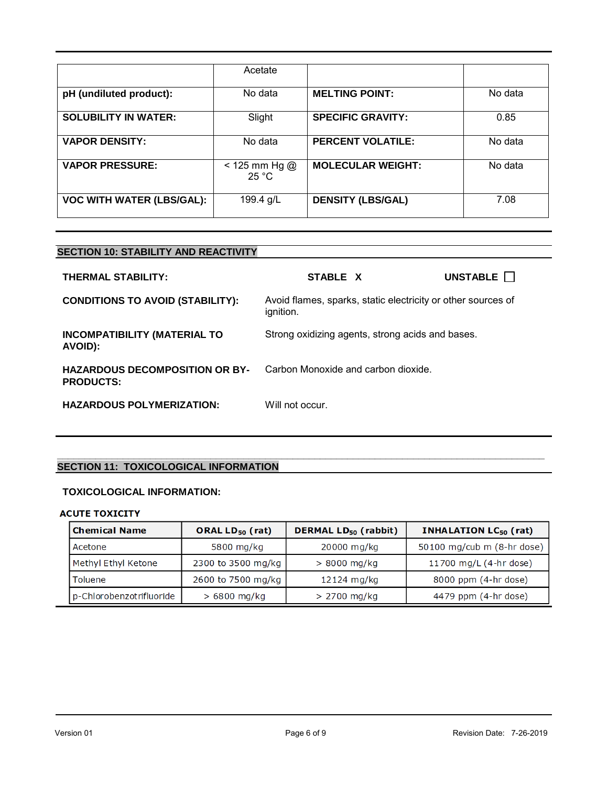|                                  | Acetate                    |                          |         |
|----------------------------------|----------------------------|--------------------------|---------|
| pH (undiluted product):          | No data                    | <b>MELTING POINT:</b>    | No data |
| <b>SOLUBILITY IN WATER:</b>      | Slight                     | <b>SPECIFIC GRAVITY:</b> | 0.85    |
| <b>VAPOR DENSITY:</b>            | No data                    | <b>PERCENT VOLATILE:</b> | No data |
| <b>VAPOR PRESSURE:</b>           | $< 125$ mm Hg $@$<br>25 °C | <b>MOLECULAR WEIGHT:</b> | No data |
| <b>VOC WITH WATER (LBS/GAL):</b> | 199.4 g/L                  | <b>DENSITY (LBS/GAL)</b> | 7.08    |

## **SECTION 10: STABILITY AND REACTIVITY**

| THERMAL STABILITY:                                        | STABLE X                                                                  | UNSTABLE <sup>[]</sup> |
|-----------------------------------------------------------|---------------------------------------------------------------------------|------------------------|
| <b>CONDITIONS TO AVOID (STABILITY):</b>                   | Avoid flames, sparks, static electricity or other sources of<br>ignition. |                        |
| <b>INCOMPATIBILITY (MATERIAL TO</b><br>AVOID):            | Strong oxidizing agents, strong acids and bases.                          |                        |
| <b>HAZARDOUS DECOMPOSITION OR BY-</b><br><b>PRODUCTS:</b> | Carbon Monoxide and carbon dioxide.                                       |                        |
| <b>HAZARDOUS POLYMERIZATION:</b>                          | Will not occur.                                                           |                        |

**\_\_\_\_\_\_\_\_\_\_\_\_\_\_\_\_\_\_\_\_\_\_\_\_\_\_\_\_\_\_\_\_\_\_\_\_\_\_\_\_\_\_\_\_\_\_\_\_\_\_\_\_\_\_\_\_\_\_\_\_\_\_\_\_\_\_\_\_\_\_\_\_\_\_\_\_\_\_\_\_\_\_\_\_\_\_\_\_\_**

### **SECTION 11: TOXICOLOGICAL INFORMATION**

## **TOXICOLOGICAL INFORMATION:**

### **ACUTE TOXICITY**

| <b>Chemical Name</b>     | ORAL $LD_{50}$ (rat) | <b>DERMAL LD<sub>50</sub></b> (rabbit) | <b>INHALATION LC<sub>50</sub></b> (rat) |
|--------------------------|----------------------|----------------------------------------|-----------------------------------------|
| Acetone                  | 5800 mg/kg           | 20000 mg/kg                            | 50100 mg/cub m (8-hr dose)              |
| Methyl Ethyl Ketone      | 2300 to 3500 mg/kg   | $> 8000$ mg/kg                         | 11700 mg/L (4-hr dose)                  |
| <b>Toluene</b>           | 2600 to 7500 mg/kg   | 12124 mg/kg                            | 8000 ppm (4-hr dose)                    |
| p-Chlorobenzotrifluoride | $> 6800$ mg/kg       | $> 2700$ mg/kg                         | 4479 ppm (4-hr dose)                    |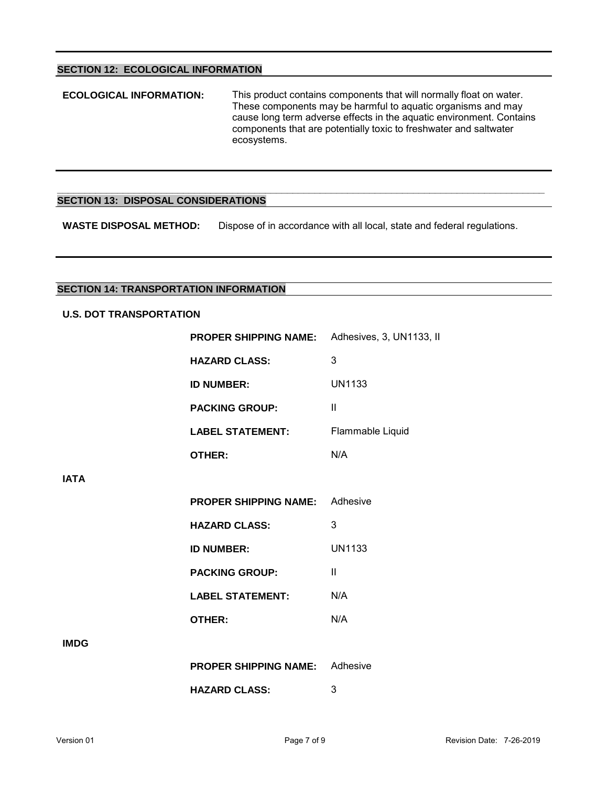### **SECTION 12: ECOLOGICAL INFORMATION**

**ECOLOGICAL INFORMATION:** This product contains components that will normally float on water. These components may be harmful to aquatic organisms and may cause long term adverse effects in the aquatic environment. Contains components that are potentially toxic to freshwater and saltwater ecosystems.

### **\_\_\_\_\_\_\_\_\_\_\_\_\_\_\_\_\_\_\_\_\_\_\_\_\_\_\_\_\_\_\_\_\_\_\_\_\_\_\_\_\_\_\_\_\_\_\_\_\_\_\_\_\_\_\_\_\_\_\_\_\_\_\_\_\_\_\_\_\_\_\_\_\_\_\_\_\_\_\_\_\_\_\_\_\_\_\_\_\_ SECTION 13: DISPOSAL CONSIDERATIONS**

**WASTE DISPOSAL METHOD:** Dispose of in accordance with all local, state and federal regulations.

### **SECTION 14: TRANSPORTATION INFORMATION**

### **U.S. DOT TRANSPORTATION**

|             | <b>PROPER SHIPPING NAME:</b> Adhesives, 3, UN1133, II |                  |  |  |  |
|-------------|-------------------------------------------------------|------------------|--|--|--|
|             | <b>HAZARD CLASS:</b>                                  | 3                |  |  |  |
|             | <b>ID NUMBER:</b>                                     | <b>UN1133</b>    |  |  |  |
|             | <b>PACKING GROUP:</b>                                 | Ш                |  |  |  |
|             | <b>LABEL STATEMENT:</b>                               | Flammable Liquid |  |  |  |
|             | OTHER:                                                | N/A              |  |  |  |
| <b>IATA</b> |                                                       |                  |  |  |  |
|             | <b>PROPER SHIPPING NAME:</b> Adhesive                 |                  |  |  |  |
|             | <b>HAZARD CLASS:</b>                                  | 3                |  |  |  |
|             | <b>ID NUMBER:</b>                                     | <b>UN1133</b>    |  |  |  |
|             | <b>PACKING GROUP:</b>                                 | Ш                |  |  |  |
|             | <b>LABEL STATEMENT:</b>                               | N/A              |  |  |  |
|             | <b>OTHER:</b>                                         | N/A              |  |  |  |
| <b>IMDG</b> |                                                       |                  |  |  |  |
|             | <b>PROPER SHIPPING NAME:</b> Adhesive                 |                  |  |  |  |
|             | <b>HAZARD CLASS:</b>                                  | 3                |  |  |  |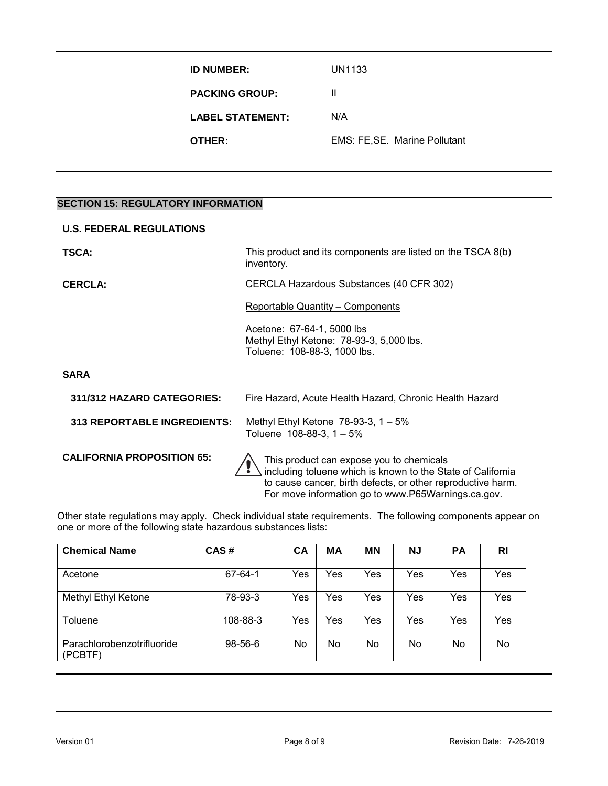**ID NUMBER:** UN1133 **PACKING GROUP:** II **LABEL STATEMENT:** N/A **OTHER:** EMS: FE, SE. Marine Pollutant

### **SECTION 15: REGULATORY INFORMATION**

| <b>U.S. FEDERAL REGULATIONS</b>    |                                                                                                         |  |
|------------------------------------|---------------------------------------------------------------------------------------------------------|--|
| <b>TSCA:</b>                       | This product and its components are listed on the TSCA 8(b)<br>inventory.                               |  |
| <b>CERCLA:</b>                     | CERCLA Hazardous Substances (40 CFR 302)                                                                |  |
|                                    | <b>Reportable Quantity – Components</b>                                                                 |  |
|                                    | Acetone: 67-64-1, 5000 lbs<br>Methyl Ethyl Ketone: 78-93-3, 5,000 lbs.<br>Toluene: 108-88-3, 1000 lbs.  |  |
| <b>SARA</b>                        |                                                                                                         |  |
| 311/312 HAZARD CATEGORIES:         | Fire Hazard, Acute Health Hazard, Chronic Health Hazard                                                 |  |
| <b>313 REPORTABLE INGREDIENTS:</b> | Methyl Ethyl Ketone $78-93-3$ , 1 $-5\%$<br>Toluene $108-88-3$ , $1-5%$                                 |  |
| <b>CALIFORNIA PROPOSITION 65:</b>  | This product can expose you to chemicals<br>including toluene which is known to the State of California |  |

Other state regulations may apply. Check individual state requirements. The following components appear on one or more of the following state hazardous substances lists:

to cause cancer, birth defects, or other reproductive harm. For move information go to www.P65Warnings.ca.gov.

| <b>Chemical Name</b>                  | CAS#          | CA  | MA  | <b>MN</b> | <b>NJ</b> | <b>PA</b> | RI  |
|---------------------------------------|---------------|-----|-----|-----------|-----------|-----------|-----|
| Acetone                               | 67-64-1       | Yes | Yes | Yes       | Yes       | Yes       | Yes |
| <b>Methyl Ethyl Ketone</b>            | 78-93-3       | Yes | Yes | Yes       | Yes       | Yes       | Yes |
| Toluene                               | 108-88-3      | Yes | Yes | Yes       | Yes       | Yes       | Yes |
| Parachlorobenzotrifluoride<br>(PCBTF) | $98 - 56 - 6$ | No  | No  | No        | No        | No        | No  |